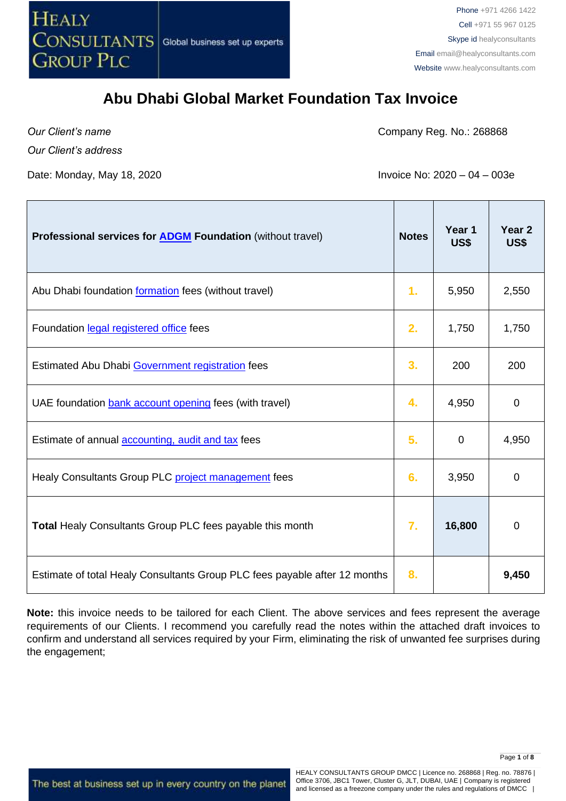

a ba

#### **Abu Dhabi Global Market Foundation Tax Invoice**

*Our Client's name*

Company Reg. No.: 268868

*Our Client's address*

Date: Monday, May 18, 2020 **Invoice No: 2020** – 04 – 003e

| <b>Professional services for ADGM Foundation (without travel)</b>          | <b>Notes</b>   | Year 1<br>US\$ | Year <sub>2</sub><br>US\$ |
|----------------------------------------------------------------------------|----------------|----------------|---------------------------|
| Abu Dhabi foundation formation fees (without travel)                       | $\mathbf{1}$ . | 5,950          | 2,550                     |
| Foundation legal registered office fees                                    | 2.             | 1,750          | 1,750                     |
| Estimated Abu Dhabi Government registration fees                           | 3.             | 200            | 200                       |
| UAE foundation bank account opening fees (with travel)                     | 4.             | 4,950          | $\mathbf 0$               |
| Estimate of annual <b>accounting</b> , audit and tax fees                  | 5.             | $\mathbf 0$    | 4,950                     |
| Healy Consultants Group PLC project management fees                        | 6.             | 3,950          | $\mathbf 0$               |
| <b>Total Healy Consultants Group PLC fees payable this month</b>           | $\mathbf{7}$ . | 16,800         | 0                         |
| Estimate of total Healy Consultants Group PLC fees payable after 12 months | 8.             |                | 9,450                     |

**Note:** this invoice needs to be tailored for each Client. The above services and fees represent the average requirements of our Clients. I recommend you carefully read the notes within the attached draft invoices to confirm and understand all services required by your Firm, eliminating the risk of unwanted fee surprises during the engagement;

The best at business set up in every country on the planet

HEALY CONSULTANTS GROUP DMCC | Licence no. 268868 | Reg. no. 78876 | Office 3706, JBC1 Tower, Cluster G, JLT, DUBAI, UAE | Company is registered and licensed as a freezone company under the rules and regulations of DMCC |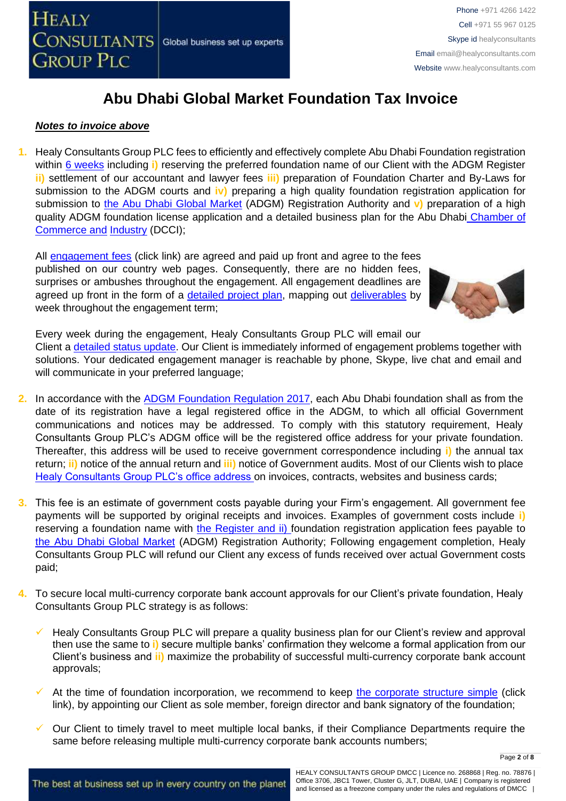

#### *Notes to invoice above*

**1.** Healy Consultants Group PLC fees to efficiently and effectively complete Abu Dhabi Foundation registration within [6 weeks](http://www.healyconsultants.com/abu-dhabi-company-registration/fees-timelines/#timelines) including **i)** reserving the preferred foundation name of our Client with the ADGM Register **ii)** settlement of our accountant and lawyer fees **iii)** preparation of Foundation Charter and By-Laws for submission to the ADGM courts and **iv)** preparing a high quality foundation registration application for submission to [the Abu Dhabi Global Market](https://www.adgm.com/) (ADGM) Registration Authority and **v)** preparation of a high quality ADGM foundation license application and a detailed business plan for the Abu Dhabi Chamber of Commerce an[d](http://www.dubaichamber.com/en/) [Industry](http://www.dubaichamber.com/en/) (DCCI);

All [engagement fees](http://www.healyconsultants.com/company-registration-fees/) (click link) are agreed and paid up front and agree to the fees published on our country web pages. Consequently, there are no hidden fees, surprises or ambushes throughout the engagement. All engagement deadlines are agreed up front in the form of a [detailed project plan,](http://www.healyconsultants.com/index-important-links/example-project-plan/) mapping out [deliverables](http://www.healyconsultants.com/deliverables-to-our-clients/) by week throughout the engagement term;



Every week during the engagement, Healy Consultants Group PLC will email our Client a [detailed status update.](http://www.healyconsultants.com/index-important-links/weekly-engagement-status-email/) Our Client is immediately informed of engagement problems together with solutions. Your dedicated engagement manager is reachable by phone, Skype, live chat and email and will communicate in your preferred language;

- **2.** In accordance with the [ADGM Foundation Regulation 2017,](https://www.adgm.com/documents/setting-up/guidance/foundations-regulations-2017.pdf?la=en&hash=605461867252B21FA2283C104CD8928C) each Abu Dhabi foundation shall as from the date of its registration have a legal registered office in the ADGM, to which all official Government communications and notices may be addressed. To comply with this statutory requirement, Healy Consultants Group PLC's ADGM office will be the registered office address for your private foundation. Thereafter, this address will be used to receive government correspondence including **i)** the annual tax return; **ii)** notice of the annual return and **iii)** notice of Government audits. Most of our Clients wish to place [Healy Consultants Group PLC's office address](http://www.healyconsultants.com/corporate-outsourcing-services/company-secretary-and-legal-registered-office/) on invoices, contracts, websites and business cards;
- **3.** This fee is an estimate of government costs payable during your Firm's engagement. All government fee payments will be supported by original receipts and invoices. Examples of government costs include **i)** reserving a foundation name with [the Register](https://www.adgm.com/) and ii) foundation registration application fees payable to [the Abu Dhabi Global Market](https://www.adgm.com/) (ADGM) Registration Authority; Following engagement completion, Healy Consultants Group PLC will refund our Client any excess of funds received over actual Government costs paid;
- **4.** To secure local multi-currency corporate bank account approvals for our Client's private foundation, Healy Consultants Group PLC strategy is as follows:
	- Healy Consultants Group PLC will prepare a quality business plan for our Client's review and approval then use the same to **i)** secure multiple banks' confirmation they welcome a formal application from our Client's business and **ii)** maximize the probability of successful multi-currency corporate bank account approvals;
	- At the time of foundation incorporation, we recommend to keep [the corporate structure simple](https://www.healyconsultants.com/about-us/complex-client-engagements/simplify-business-setup/) (click link), by appointing our Client as sole member, foreign director and bank signatory of the foundation;
	- Our Client to timely travel to meet multiple local banks, if their Compliance Departments require the same before releasing multiple multi-currency corporate bank accounts numbers;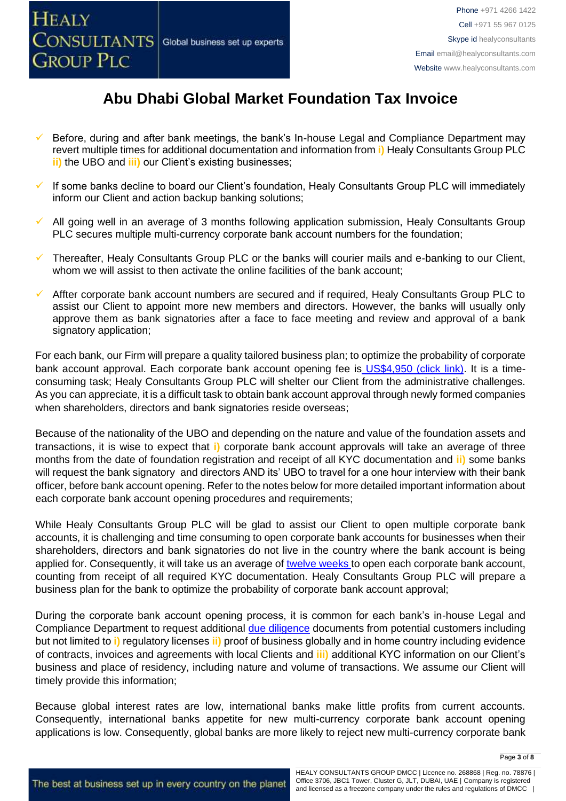

- Before, during and after bank meetings, the bank's In-house Legal and Compliance Department may revert multiple times for additional documentation and information from **i)** Healy Consultants Group PLC **ii)** the UBO and **iii)** our Client's existing businesses;
- If some banks decline to board our Client's foundation, Healy Consultants Group PLC will immediately inform our Client and action backup banking solutions;
- All going well in an average of 3 months following application submission, Healy Consultants Group PLC secures multiple multi-currency corporate bank account numbers for the foundation;
- Thereafter, Healy Consultants Group PLC or the banks will courier mails and e-banking to our Client, whom we will assist to then activate the online facilities of the bank account;
- Affter corporate bank account numbers are secured and if required, Healy Consultants Group PLC to assist our Client to appoint more new members and directors. However, the banks will usually only approve them as bank signatories after a face to face meeting and review and approval of a bank signatory application;

For each bank, our Firm will prepare a quality tailored business plan; to optimize the probability of corporate bank account approval. Each corporate bank account opening fee is [US\\$4,950 \(click link\).](https://www.healyconsultants.com/global-corporate-banking-for-resident-company/) It is a timeconsuming task; Healy Consultants Group PLC will shelter our Client from the administrative challenges. As you can appreciate, it is a difficult task to obtain bank account approval through newly formed companies when shareholders, directors and bank signatories reside overseas;

Because of the nationality of the UBO and depending on the nature and value of the foundation assets and transactions, it is wise to expect that **i)** corporate bank account approvals will take an average of three months from the date of foundation registration and receipt of all KYC documentation and **ii)** some banks will request the bank signatory and directors AND its' UBO to travel for a one hour interview with their bank officer, before bank account opening. Refer to the notes below for more detailed important information about each corporate bank account opening procedures and requirements;

While Healy Consultants Group PLC will be glad to assist our Client to open multiple corporate bank accounts, it is challenging and time consuming to open corporate bank accounts for businesses when their shareholders, directors and bank signatories do not live in the country where the bank account is being applied for. Consequently, it will take us an average of [twelve weeks](http://www.healyconsultants.com/international-banking/bitcoin-business-bank-account/) to open each corporate bank account, counting from receipt of all required KYC documentation. Healy Consultants Group PLC will prepare a business plan for the bank to optimize the probability of corporate bank account approval;

During the corporate bank account opening process, it is common for each bank's in-house Legal and Compliance Department to request additional [due diligence](http://www.healyconsultants.com/due-diligence/) documents from potential customers including but not limited to **i)** regulatory licenses **ii)** proof of business globally and in home country including evidence of contracts, invoices and agreements with local Clients and **iii)** additional KYC information on our Client's business and place of residency, including nature and volume of transactions. We assume our Client will timely provide this information;

Because global interest rates are low, international banks make little profits from current accounts. Consequently, international banks appetite for new multi-currency corporate bank account opening applications is low. Consequently, global banks are more likely to reject new multi-currency corporate bank

Page **3** of **8**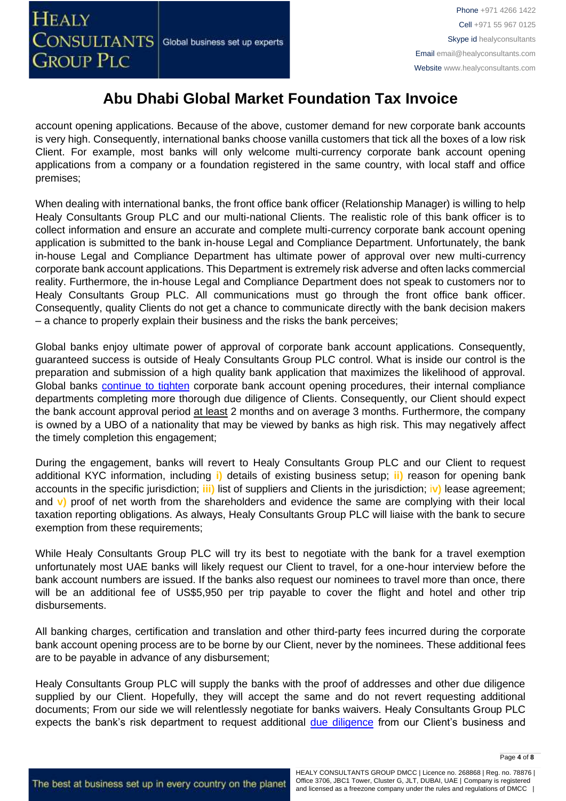account opening applications. Because of the above, customer demand for new corporate bank accounts is very high. Consequently, international banks choose vanilla customers that tick all the boxes of a low risk Client. For example, most banks will only welcome multi-currency corporate bank account opening applications from a company or a foundation registered in the same country, with local staff and office premises;

When dealing with international banks, the front office bank officer (Relationship Manager) is willing to help Healy Consultants Group PLC and our multi-national Clients. The realistic role of this bank officer is to collect information and ensure an accurate and complete multi-currency corporate bank account opening application is submitted to the bank in-house Legal and Compliance Department. Unfortunately, the bank in-house Legal and Compliance Department has ultimate power of approval over new multi-currency corporate bank account applications. This Department is extremely risk adverse and often lacks commercial reality. Furthermore, the in-house Legal and Compliance Department does not speak to customers nor to Healy Consultants Group PLC. All communications must go through the front office bank officer. Consequently, quality Clients do not get a chance to communicate directly with the bank decision makers – a chance to properly explain their business and the risks the bank perceives;

Global banks enjoy ultimate power of approval of corporate bank account applications. Consequently, guaranteed success is outside of Healy Consultants Group PLC control. What is inside our control is the preparation and submission of a high quality bank application that maximizes the likelihood of approval. Global banks [continue to tighten](https://www.healyconsultants.com/international-banking/opening-corporate-bank-accounts/) corporate bank account opening procedures, their internal compliance departments completing more thorough due diligence of Clients. Consequently, our Client should expect the bank account approval period at least 2 months and on average 3 months. Furthermore, the company is owned by a UBO of a nationality that may be viewed by banks as high risk. This may negatively affect the timely completion this engagement;

During the engagement, banks will revert to Healy Consultants Group PLC and our Client to request additional KYC information, including **i)** details of existing business setup; **ii)** reason for opening bank accounts in the specific jurisdiction; **iii)** list of suppliers and Clients in the jurisdiction; i**v)** lease agreement; and **v)** proof of net worth from the shareholders and evidence the same are complying with their local taxation reporting obligations. As always, Healy Consultants Group PLC will liaise with the bank to secure exemption from these requirements;

While Healy Consultants Group PLC will try its best to negotiate with the bank for a travel exemption unfortunately most UAE banks will likely request our Client to travel, for a one-hour interview before the bank account numbers are issued. If the banks also request our nominees to travel more than once, there will be an additional fee of US\$5,950 per trip payable to cover the flight and hotel and other trip disbursements.

All banking charges, certification and translation and other third-party fees incurred during the corporate bank account opening process are to be borne by our Client, never by the nominees. These additional fees are to be payable in advance of any disbursement;

Healy Consultants Group PLC will supply the banks with the proof of addresses and other due diligence supplied by our Client. Hopefully, they will accept the same and do not revert requesting additional documents; From our side we will relentlessly negotiate for banks waivers. Healy Consultants Group PLC expects the bank's risk department to request additional [due diligence](http://www.healyconsultants.com/due-diligence/) from our Client's business and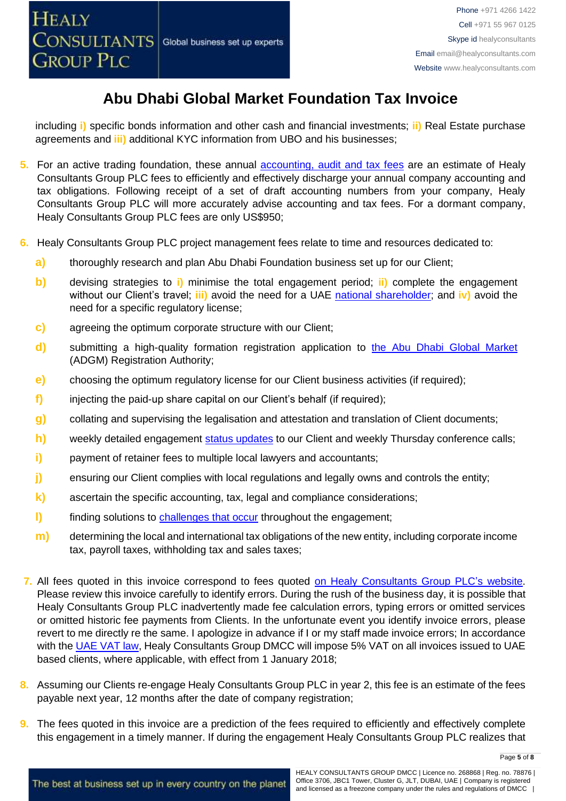including **i)** specific bonds information and other cash and financial investments; **ii)** Real Estate purchase agreements and **iii)** additional KYC information from UBO and his businesses;

- **5.** For an active trading foundation, these annual [accounting, audit and tax](http://www.healyconsultants.com/uae-company-registration/accounting-legal/) fees are an estimate of Healy Consultants Group PLC fees to efficiently and effectively discharge your annual company accounting and tax obligations. Following receipt of a set of draft accounting numbers from your company, Healy Consultants Group PLC will more accurately advise accounting and tax fees. For a dormant company, Healy Consultants Group PLC fees are only US\$950;
- **6.** Healy Consultants Group PLC project management fees relate to time and resources dedicated to:
	- **a)** thoroughly research and plan Abu Dhabi Foundation business set up for our Client;
	- **b)** devising strategies to **i)** minimise the total engagement period; **ii)** complete the engagement without our Client's travel; **iii)** avoid the need for a UAE [national](http://www.healyconsultants.com/corporate-advisory-services/nominee-shareholders-directors/national-shareholder-services/) [shareholder;](http://www.healyconsultants.com/corporate-advisory-services/nominee-shareholders-directors/national-shareholder-services/) and **iv)** avoid the need for a specific regulatory license;
	- **c)** agreeing the optimum corporate structure with our Client;
	- **d)** submitting a high-quality formation registration application to [the Abu Dhabi Global Market](https://www.adgm.com/) (ADGM) Registration Authority;
	- **e)** choosing the optimum regulatory license for our Client business activities (if required);
	- **f)** injecting the paid-up share capital on our Client's behalf (if required);
	- **g)** collating and supervising the legalisation and attestation and translation of Client documents;
	- **h)** weekly detailed engagement [status updates](http://www.healyconsultants.com/index-important-links/weekly-engagement-status-email/) to our Client and weekly Thursday conference calls;
	- **i)** payment of retainer fees to multiple local lawyers and accountants;
	- **j)** ensuring our Client complies with local regulations and legally owns and controls the entity;
	- **k)** ascertain the specific accounting, tax, legal and compliance considerations;
	- **l)** finding solutions to [challenges that occur](http://www.healyconsultants.com/engagement-project-management/) throughout the engagement;
	- **m)** determining the local and international tax obligations of the new entity, including corporate income tax, payroll taxes, withholding tax and sales taxes;
- **7.** All fees quoted in this invoice correspond to fees quoted [on Healy Consultants Group PLC's](http://www.healyconsultants.com/company-registration-fees/) website. Please review this invoice carefully to identify errors. During the rush of the business day, it is possible that Healy Consultants Group PLC inadvertently made fee calculation errors, typing errors or omitted services or omitted historic fee payments from Clients. In the unfortunate event you identify invoice errors, please revert to me directly re the same. I apologize in advance if I or my staff made invoice errors; In accordance with the [UAE VAT law,](https://www.tax.gov.ae/legislation.aspx) Healy Consultants Group DMCC will impose 5% VAT on all invoices issued to UAE based clients, where applicable, with effect from 1 January 2018;
- **8.** Assuming our Clients re-engage Healy Consultants Group PLC in year 2, this fee is an estimate of the fees payable next year, 12 months after the date of company registration;
- **9.** The fees quoted in this invoice are a prediction of the fees required to efficiently and effectively complete this engagement in a timely manner. If during the engagement Healy Consultants Group PLC realizes that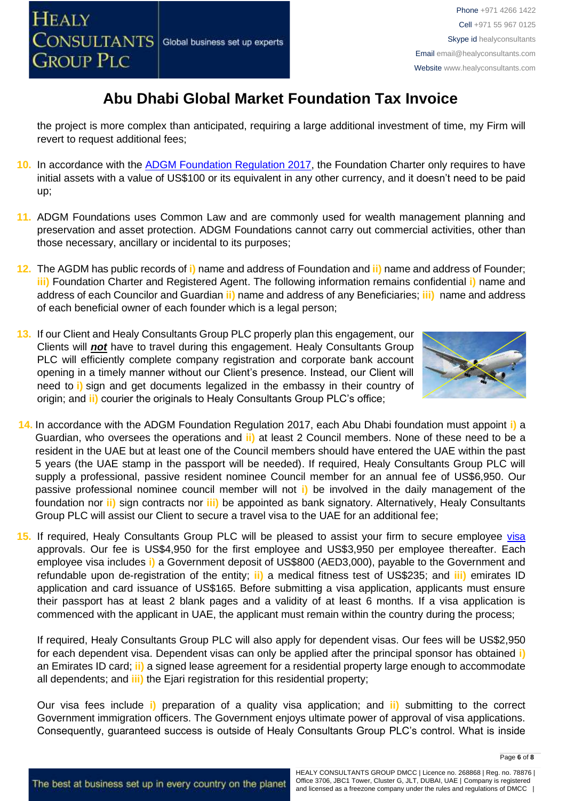the project is more complex than anticipated, requiring a large additional investment of time, my Firm will revert to request additional fees;

- **10.** In accordance with the [ADGM Foundation Regulation 2017,](https://www.adgm.com/documents/setting-up/guidance/foundations-regulations-2017.pdf?la=en&hash=605461867252B21FA2283C104CD8928C) the Foundation Charter only requires to have initial assets with a value of US\$100 or its equivalent in any other currency, and it doesn't need to be paid up;
- **11.** ADGM Foundations uses Common Law and are commonly used for wealth management planning and preservation and asset protection. ADGM Foundations cannot carry out commercial activities, other than those necessary, ancillary or incidental to its purposes;
- **12.** The AGDM has public records of **i)** name and address of Foundation and **ii)** name and address of Founder; **iii)** Foundation Charter and Registered Agent. The following information remains confidential **i)** name and address of each Councilor and Guardian **ii)** name and address of any Beneficiaries; **iii)** name and address of each beneficial owner of each founder which is a legal person;
- **13.** If our Client and Healy Consultants Group PLC properly plan this engagement, our Clients will *not* have to travel during this engagement. Healy Consultants Group PLC will efficiently complete company registration and corporate bank account opening in a timely manner without our Client's presence. Instead, our Client will need to **i)** sign and get documents legalized in the embassy in their country of origin; and **ii)** courier the originals to Healy Consultants Group PLC's office;



- **14.** In accordance with the ADGM Foundation Regulation 2017, each Abu Dhabi foundation must appoint **i)** a Guardian, who oversees the operations and **ii)** at least 2 Council members. None of these need to be a resident in the UAE but at least one of the Council members should have entered the UAE within the past 5 years (the UAE stamp in the passport will be needed). If required, Healy Consultants Group PLC will supply a professional, passive resident nominee Council member for an annual fee of US\$6,950. Our passive professional nominee council member will not **i)** be involved in the daily management of the foundation nor **ii)** sign contracts nor **iii)** be appointed as bank signatory. Alternatively, Healy Consultants Group PLC will assist our Client to secure a travel visa to the UAE for an additional fee;
- 15. If required, Healy Consultants Group PLC will be pleased to assist your firm to secure employee visa [ap](http://www.healyconsultants.com/dubai-company-registration/employment-visas/)provals. Our fee is US\$4,950 for the first employee and US\$3,950 per employee thereafter. Each employee visa includes **i)** a Government deposit of US\$800 (AED3,000), payable to the Government and refundable upon de-registration of the entity; **ii)** a medical fitness test of US\$235; and **iii)** emirates ID application and card issuance of US\$165. Before submitting a visa application, applicants must ensure their passport has at least 2 blank pages and a validity of at least 6 months. If a visa application is commenced with the applicant in UAE, the applicant must remain within the country during the process;

If required, Healy Consultants Group PLC will also apply for dependent visas. Our fees will be US\$2,950 for each dependent visa. Dependent visas can only be applied after the principal sponsor has obtained **i)** an Emirates ID card; **ii)** a signed lease agreement for a residential property large enough to accommodate all dependents; and **iii)** the Ejari registration for this residential property;

Our visa fees include **i)** preparation of a quality visa application; and **ii)** submitting to the correct Government immigration officers. The Government enjoys ultimate power of approval of visa applications. Consequently, guaranteed success is outside of Healy Consultants Group PLC's control. What is inside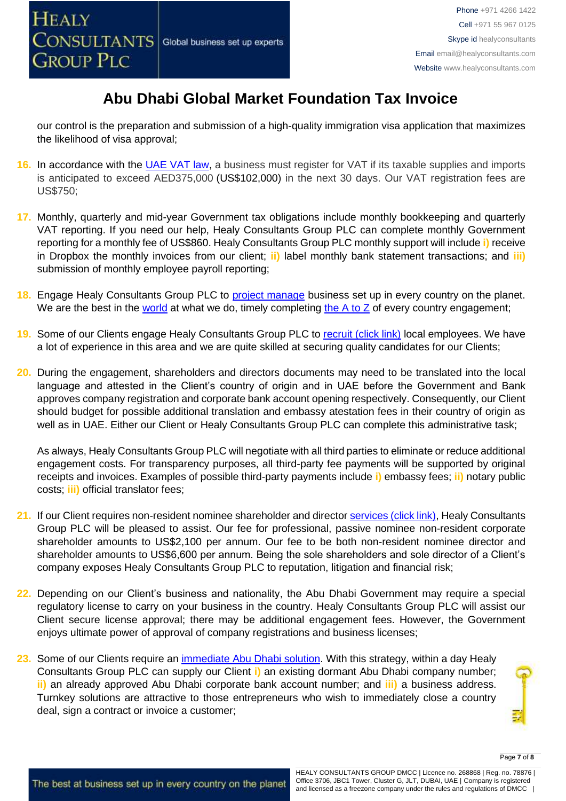our control is the preparation and submission of a high-quality immigration visa application that maximizes the likelihood of visa approval;

- **16.** In accordance with the [UAE VAT law,](https://www.tax.gov.ae/legislation.aspx) a business must register for VAT if its taxable supplies and imports is anticipated to exceed AED375,000 (US\$102,000) in the next 30 days. Our VAT registration fees are US\$750;
- **17.** Monthly, quarterly and mid-year Government tax obligations include monthly bookkeeping and quarterly VAT reporting. If you need our help, Healy Consultants Group PLC can complete monthly Government reporting for a monthly fee of US\$860. Healy Consultants Group PLC monthly support will include **i)** receive in Dropbox the monthly invoices from our client; **ii)** label monthly bank statement transactions; and **iii)** submission of monthly employee payroll reporting;
- 18. Engage Healy Consultants Group PLC to **project manage** business set up in every country on the planet. We are the best in the [world](http://www.healyconsultants.com/best-in-the-world/) at what we do, timely completing the  $A$  to  $Z$  of every country engagement;
- **19.** Some of our Clients engage Healy Consultants Group PLC to [recruit \(click link\)](http://www.healyconsultants.com/corporate-outsourcing-services/how-we-help-our-clients-recruit-quality-employees/) local employees. We have a lot of experience in this area and we are quite skilled at securing quality candidates for our Clients;
- **20.** During the engagement, shareholders and directors documents may need to be translated into the local language and attested in the Client's country of origin and in UAE before the Government and Bank approves company registration and corporate bank account opening respectively. Consequently, our Client should budget for possible additional translation and embassy atestation fees in their country of origin as well as in UAE. Either our Client or Healy Consultants Group PLC can complete this administrative task;

As always, Healy Consultants Group PLC will negotiate with all third parties to eliminate or reduce additional engagement costs. For transparency purposes, all third-party fee payments will be supported by original receipts and invoices. Examples of possible third-party payments include **i)** embassy fees; **ii)** notary public costs; **iii)** official translator fees;

- **21.** If our Client requires non-resident nominee shareholder and director [services \(click link\),](http://www.healyconsultants.com/corporate-outsourcing-services/nominee-shareholders-directors/) Healy Consultants Group PLC will be pleased to assist. Our fee for professional, passive nominee non-resident corporate shareholder amounts to US\$2,100 per annum. Our fee to be both non-resident nominee director and shareholder amounts to US\$6,600 per annum. Being the sole shareholders and sole director of a Client's company exposes Healy Consultants Group PLC to reputation, litigation and financial risk;
- **22.** Depending on our Client's business and nationality, the Abu Dhabi Government may require a special regulatory license to carry on your business in the country. Healy Consultants Group PLC will assist our Client secure license approval; there may be additional engagement fees. However, the Government enjoys ultimate power of approval of company registrations and business licenses;
- **23.** Some of our Clients require an [immediate Abu Dhabi solution.](http://www.healyconsultants.com/turnkey-solutions/) With this strategy, within a day Healy Consultants Group PLC can supply our Client **i)** an existing dormant Abu Dhabi company number; **ii)** an already approved Abu Dhabi corporate bank account number; and **iii)** a business address. Turnkey solutions are attractive to those entrepreneurs who wish to immediately close a country deal, sign a contract or invoice a customer;



The best at business set up in every country on the planet

HEALY CONSULTANTS GROUP DMCC | Licence no. 268868 | Reg. no. 78876 | Office 3706, JBC1 Tower, Cluster G, JLT, DUBAI, UAE | Company is registered and licensed as a freezone company under the rules and regulations of DMCC |